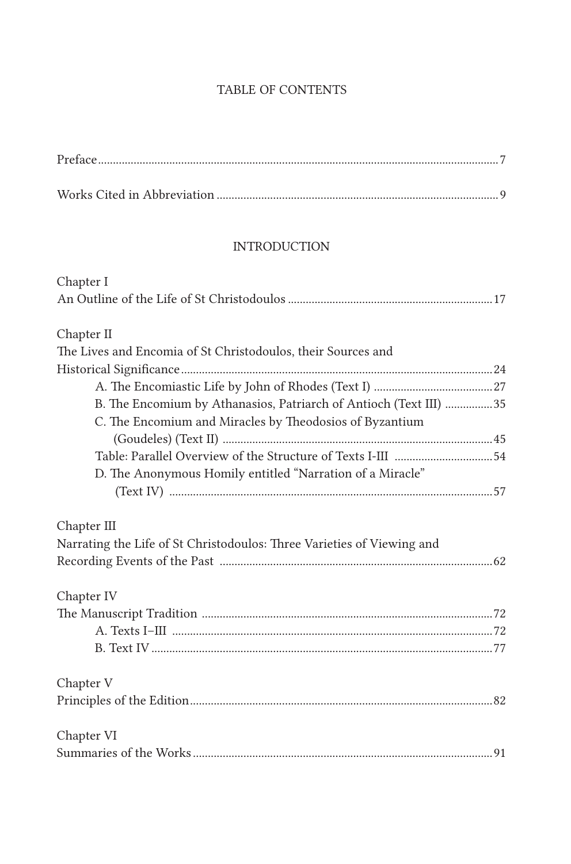## TABLE OF CONTENTS

| <b>INTRODUCTION</b>                                                    |  |
|------------------------------------------------------------------------|--|
| Chapter I                                                              |  |
|                                                                        |  |
| Chapter II                                                             |  |
| The Lives and Encomia of St Christodoulos, their Sources and           |  |
|                                                                        |  |
|                                                                        |  |
| B. The Encomium by Athanasios, Patriarch of Antioch (Text III) 35      |  |
| C. The Encomium and Miracles by Theodosios of Byzantium                |  |
|                                                                        |  |
|                                                                        |  |
| D. The Anonymous Homily entitled "Narration of a Miracle"              |  |
|                                                                        |  |
| Chapter III                                                            |  |
| Narrating the Life of St Christodoulos: Three Varieties of Viewing and |  |
|                                                                        |  |
| Chapter IV                                                             |  |
|                                                                        |  |
|                                                                        |  |
|                                                                        |  |
| Chapter V                                                              |  |
|                                                                        |  |
| Chapter VI                                                             |  |
|                                                                        |  |